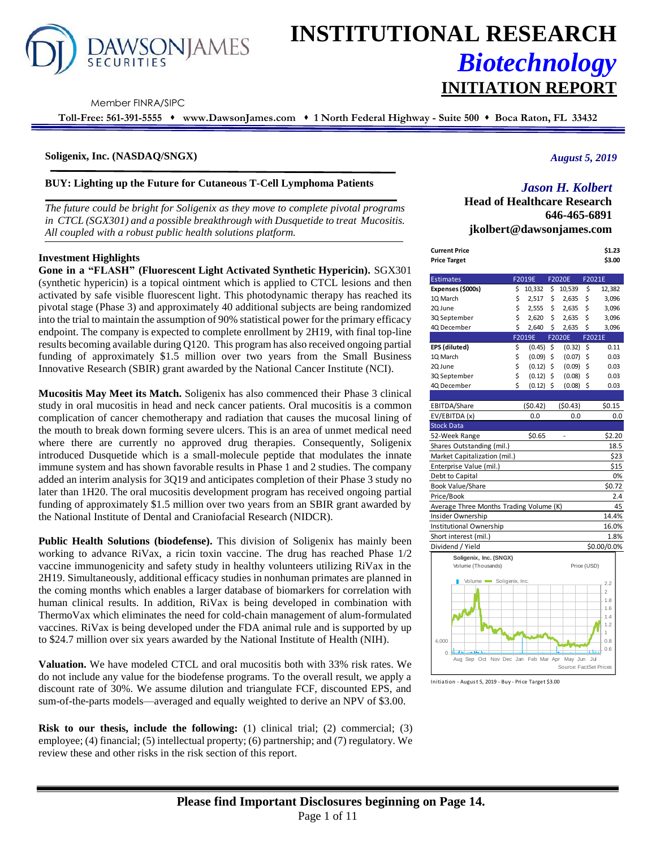

# **INSTITUTIONAL RESEARCH** *Biotechnology* **INITIATION REPORT**

Member FINRA/SIPC

**Toll-Free: 561-391-5555** ⬧ **www.DawsonJames.com** ⬧ **1 North Federal Highway - Suite 500** ⬧ **Boca Raton, FL 33432**

#### **Soligenix, Inc. (NASDAQ/SNGX)**

**BUY: Lighting up the Future for Cutaneous T-Cell Lymphoma Patients**

*The future could be bright for Soligenix as they move to complete pivotal programs in CTCL (SGX301) and a possible breakthrough with Dusquetide to treat Mucositis. All coupled with a robust public health solutions platform.*

#### **Investment Highlights**

**Gone in a "FLASH" (Fluorescent Light Activated Synthetic Hypericin).** SGX301 (synthetic hypericin) is a topical ointment which is applied to CTCL lesions and then activated by safe visible fluorescent light. This photodynamic therapy has reached its pivotal stage (Phase 3) and approximately 40 additional subjects are being randomized into the trial to maintain the assumption of 90% statistical power for the primary efficacy endpoint. The company is expected to complete enrollment by 2H19, with final top-line results becoming available during Q120. This program has also received ongoing partial funding of approximately \$1.5 million over two years from the Small Business Innovative Research (SBIR) grant awarded by the National Cancer Institute (NCI).

**Mucositis May Meet its Match.** Soligenix has also commenced their Phase 3 clinical study in oral mucositis in head and neck cancer patients. Oral mucositis is a common complication of cancer chemotherapy and radiation that causes the mucosal lining of the mouth to break down forming severe ulcers. This is an area of unmet medical need where there are currently no approved drug therapies. Consequently, Soligenix introduced Dusquetide which is a small-molecule peptide that modulates the innate immune system and has shown favorable results in Phase 1 and 2 studies. The company added an interim analysis for 3Q19 and anticipates completion of their Phase 3 study no later than 1H20. The oral mucositis development program has received ongoing partial funding of approximately \$1.5 million over two years from an SBIR grant awarded by the National Institute of Dental and Craniofacial Research (NIDCR).

**Public Health Solutions (biodefense).** This division of Soligenix has mainly been working to advance RiVax, a ricin toxin vaccine. The drug has reached Phase 1/2 vaccine immunogenicity and safety study in healthy volunteers utilizing RiVax in the 2H19. Simultaneously, additional efficacy studies in nonhuman primates are planned in the coming months which enables a larger database of biomarkers for correlation with human clinical results. In addition, RiVax is being developed in combination with ThermoVax which eliminates the need for cold-chain management of alum-formulated vaccines. RiVax is being developed under the FDA animal rule and is supported by up to \$24.7 million over six years awarded by the National Institute of Health (NIH).

**Valuation.** We have modeled CTCL and oral mucositis both with 33% risk rates. We do not include any value for the biodefense programs. To the overall result, we apply a discount rate of 30%. We assume dilution and triangulate FCF, discounted EPS, and sum-of-the-parts models—averaged and equally weighted to derive an NPV of \$3.00.

**Risk to our thesis, include the following:** (1) clinical trial; (2) commercial; (3) employee; (4) financial; (5) intellectual property; (6) partnership; and (7) regulatory. We review these and other risks in the risk section of this report.

#### *August 5, 2019*

### *Jason H. Kolbert*

**Head of Healthcare Research 646-465-6891 jkolbert@dawsonjames.com**

| Current Price | \$1.23 |
|---------------|--------|
| Price Target  | \$3.00 |

| <b>Estimates</b>                            |    | F2019E      | F2020E                 | F2021E      |                |
|---------------------------------------------|----|-------------|------------------------|-------------|----------------|
| Expenses (\$000s)                           | \$ | 10,332      | \$<br>10,539           | \$          | 12,382         |
| 1Q March                                    | \$ | 2,517       | \$<br>2,635            | \$          | 3,096          |
| 2Q June                                     | \$ | 2,555       | \$<br>2,635            | \$          | 3,096          |
| 3Q September                                | \$ | 2,620       | \$<br>2,635            | \$          | 3,096          |
| 4Q December                                 | \$ | 2,640       | \$<br>2,635            | \$          | 3,096          |
|                                             |    | F2019E      | <b>F2020E</b>          | F2021E      |                |
| EPS (diluted)                               | \$ | $(0.45)$ \$ | (0.32)                 | \$          | 0.11           |
| 10 March                                    | \$ | (0.09)      | \$<br>(0.07)           | \$          | 0.03           |
| 2Q June                                     | \$ | (0.12)      | \$<br>(0.09)           | \$          | 0.03           |
| 3Q September                                | \$ | (0.12)      | \$<br>(0.08)           | \$          | 0.03           |
| 4Q December                                 | Ś  | $(0.12)$ \$ | (0.08)                 | Ś           | 0.03           |
|                                             |    |             |                        |             |                |
| EBITDA/Share                                |    | (50.42)     | (50.43)                |             | \$0.15         |
| EV/EBITDA (x)                               |    | 0.0         | 0.0                    |             | 0.0            |
| <b>Stock Data</b>                           |    |             |                        |             |                |
| 52-Week Range                               |    | \$0.65      |                        |             | \$2.20         |
| Shares Outstanding (mil.)                   |    |             |                        |             | 18.5           |
| Market Capitalization (mil.)                |    |             |                        |             | \$23           |
| Enterprise Value (mil.)                     |    |             |                        |             | \$15           |
| Debt to Capital                             |    |             |                        |             | 0%             |
| Book Value/Share                            |    |             |                        |             | \$0.72         |
| Price/Book                                  |    |             |                        |             | 2.4            |
| Average Three Months Trading Volume (K)     |    |             |                        |             | 45             |
| Insider Ownership                           |    |             |                        |             | 14.4%          |
| Institutional Ownership                     |    |             |                        |             | 16.0%          |
| Short interest (mil.)                       |    |             |                        |             | 1.8%           |
| Dividend / Yield                            |    |             |                        |             | \$0.00/0.0%    |
| Soligenix, Inc. (SNGX)                      |    |             |                        |             |                |
| Volume (Thousands)                          |    |             |                        | Price (USD) |                |
|                                             |    |             |                        |             |                |
| Volume Soligenix, Inc.                      |    |             |                        |             | 2.2            |
|                                             |    |             |                        |             | $\overline{2}$ |
|                                             |    |             |                        |             | 1.8<br>1.6     |
|                                             |    |             |                        |             | 1.4            |
|                                             |    |             |                        |             | 1.2            |
|                                             |    |             |                        |             | 1              |
| 4.000                                       |    |             |                        |             | 0.8            |
| $\Omega$                                    |    |             |                        |             | 0.6            |
| Aug Sep Oct Nov Dec Jan Feb Mar Apr May Jun |    |             |                        | - Jul       |                |
|                                             |    |             | Source: FactSet Prices |             |                |

Initiation - August 5, 2019 - Buy - Price Target \$3.00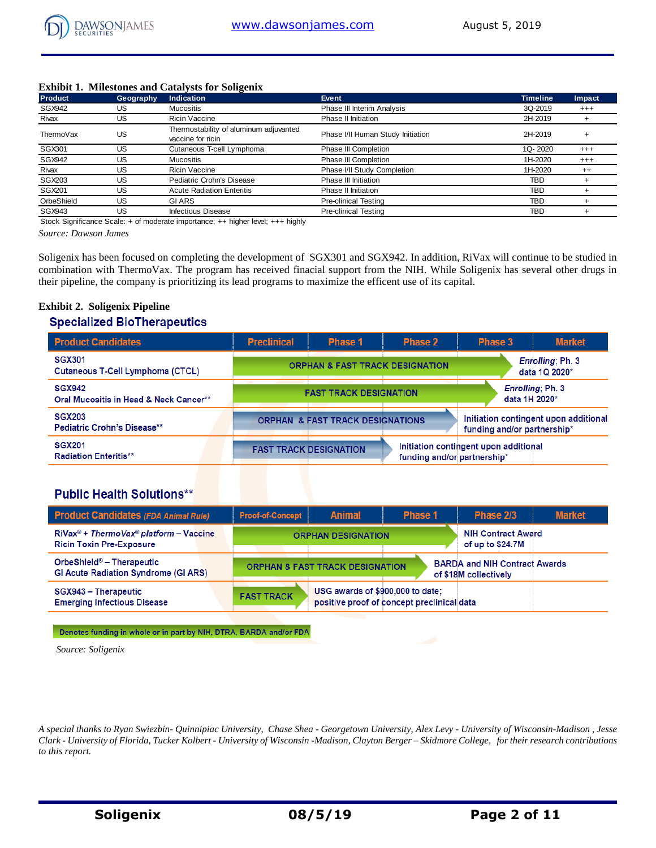#### **Exhibit 1. Milestones and Catalysts for Soligenix**

| <b>Product</b> | Geography | <b>Indication</b>                                           | Event                             | <b>Timeline</b> | Impact   |
|----------------|-----------|-------------------------------------------------------------|-----------------------------------|-----------------|----------|
| SGX942         | US        | <b>Mucositis</b>                                            | Phase III Interim Analysis        | 3Q-2019         | $^{+++}$ |
| Rivax          | US        | <b>Ricin Vaccine</b>                                        | Phase II Initiation               | 2H-2019         |          |
| ThermoVax      | US        | Thermostability of aluminum adjuvanted<br>vaccine for ricin | Phase I/II Human Study Initiation | 2H-2019         |          |
| SGX301         | US        | Cutaneous T-cell Lymphoma                                   | Phase III Completion              | 1Q-2020         | $^{+++}$ |
| <b>SGX942</b>  | US        | <b>Mucositis</b>                                            | Phase III Completion              | 1H-2020         | $^{++}$  |
| Rivax          | US        | <b>Ricin Vaccine</b>                                        | Phase I/II Study Completion       | 1H-2020         | $^{++}$  |
| SGX203         | US        | Pediatric Crohn's Disease                                   | Phase III Initiation              | TBD             |          |
| SGX201         | US        | <b>Acute Radiation Enteritis</b>                            | Phase II Initiation               | <b>TBD</b>      |          |
| OrbeShield     | US        | <b>GIARS</b>                                                | <b>Pre-clinical Testing</b>       | TBD             |          |
| <b>SGX943</b>  | US        | <b>Infectious Disease</b>                                   | <b>Pre-clinical Testing</b>       | <b>TBD</b>      |          |

Stock Significance Scale: + of moderate importance; ++ higher level; +++ highly

*Source: Dawson James* 

Soligenix has been focused on completing the development of SGX301 and SGX942. In addition, RiVax will continue to be studied in combination with ThermoVax. The program has received finacial support from the NIH. While Soligenix has several other drugs in their pipeline, the company is prioritizing its lead programs to maximize the efficent use of its capital.

## **Exhibit 2. Soligenix Pipeline Specialized BioTherapeutics**

| <b>Product Candidates</b>                               | <b>Preclinical</b> | <b>Phase 1</b>                              | <b>Phase 2</b>              | Phase 3                               | <b>Market</b>                         |
|---------------------------------------------------------|--------------------|---------------------------------------------|-----------------------------|---------------------------------------|---------------------------------------|
| <b>SGX301</b><br>Cutaneous T-Cell Lymphoma (CTCL)       |                    | <b>ORPHAN &amp; FAST TRACK DESIGNATION</b>  |                             |                                       | Enrolling; Ph. 3<br>data 1Q 2020*     |
| <b>SGX942</b><br>Oral Mucositis in Head & Neck Cancer** |                    | <b>FAST TRACK DESIGNATION</b>               |                             | data 1H 2020*                         | Enrolling: Ph. 3                      |
| <b>SGX203</b><br><b>Pediatric Crohn's Disease**</b>     |                    | <b>ORPHAN &amp; FAST TRACK DESIGNATIONS</b> |                             | funding and/or partnership*           | Initiation contingent upon additional |
| <b>SGX201</b><br><b>Radiation Enteritis**</b>           |                    | <b>FAST TRACK DESIGNATION</b>               | funding and/or partnership* | Initiation contingent upon additional |                                       |

## **Public Health Solutions\*\***

| <b>Product Candidates (FDA Animal Rule)</b>                                                           | <b>Proof-of-Concept</b> | <b>Animal</b>                              | <b>Phase 1</b>                             | Phase 2/3                                                     | <b>Market</b> |
|-------------------------------------------------------------------------------------------------------|-------------------------|--------------------------------------------|--------------------------------------------|---------------------------------------------------------------|---------------|
| $RiVax^{\circledcirc}$ + ThermoVax <sup>®</sup> platform – Vaccine<br><b>Ricin Toxin Pre-Exposure</b> |                         | <b>ORPHAN DESIGNATION</b>                  |                                            | <b>NIH Contract Award</b><br>of up to \$24.7M                 |               |
| OrbeShield® - Therapeutic<br><b>GI Acute Radiation Syndrome (GI ARS)</b>                              |                         | <b>ORPHAN &amp; FAST TRACK DESIGNATION</b> |                                            | <b>BARDA and NIH Contract Awards</b><br>of \$18M collectively |               |
| SGX943 - Therapeutic<br><b>Emerging Infectious Disease</b>                                            | <b>FAST TRACK</b>       | USG awards of \$900,000 to date;           | positive proof of concept preclinical data |                                                               |               |

Denotes funding in whole or in part by NIH, DTRA, BARDA and/or FDA

*Source: Soligenix*

*A special thanks to Ryan Swiezbin- Quinnipiac University, Chase Shea - Georgetown University, Alex Levy - University of Wisconsin-Madison , Jesse Clark - University of Florida, Tucker Kolbert - University of Wisconsin -Madison, Clayton Berger – Skidmore College, for their research contributions to this report.*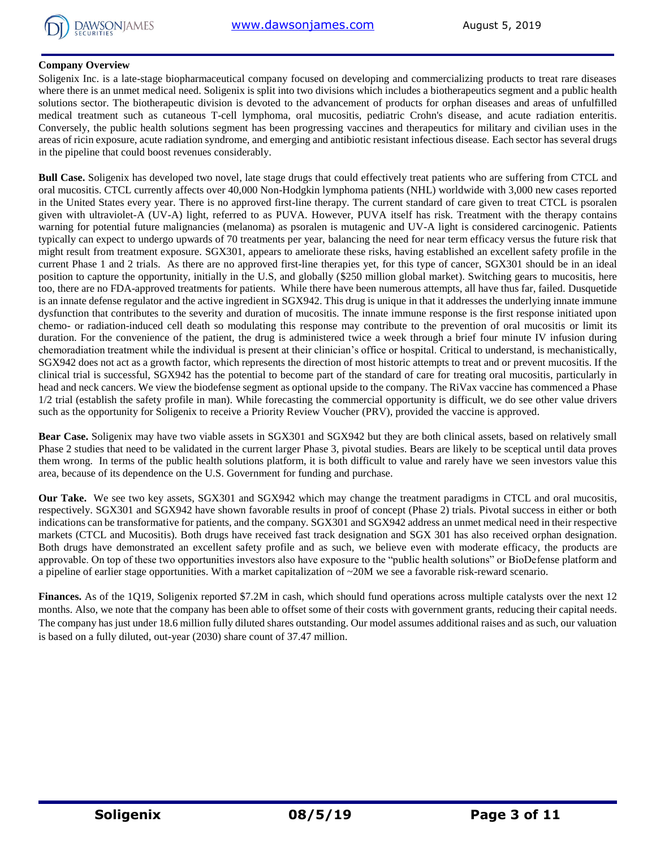

#### **Company Overview**

Soligenix Inc. is a late-stage biopharmaceutical company focused on developing and commercializing products to treat rare diseases where there is an unmet medical need. Soligenix is split into two divisions which includes a biotherapeutics segment and a public health solutions sector. The biotherapeutic division is devoted to the advancement of products for orphan diseases and areas of unfulfilled medical treatment such as cutaneous T-cell lymphoma, oral mucositis, pediatric Crohn's disease, and acute radiation enteritis. Conversely, the public health solutions segment has been progressing vaccines and therapeutics for military and civilian uses in the areas of ricin exposure, acute radiation syndrome, and emerging and antibiotic resistant infectious disease. Each sector has several drugs in the pipeline that could boost revenues considerably.

**Bull Case.** Soligenix has developed two novel, late stage drugs that could effectively treat patients who are suffering from CTCL and oral mucositis. CTCL currently affects over 40,000 Non-Hodgkin lymphoma patients (NHL) worldwide with 3,000 new cases reported in the United States every year. There is no approved first-line therapy. The current standard of care given to treat CTCL is psoralen given with ultraviolet-A (UV-A) light, referred to as PUVA. However, PUVA itself has risk. Treatment with the therapy contains warning for potential future malignancies (melanoma) as psoralen is mutagenic and UV-A light is considered carcinogenic. Patients typically can expect to undergo upwards of 70 treatments per year, balancing the need for near term efficacy versus the future risk that might result from treatment exposure. SGX301, appears to ameliorate these risks, having established an excellent safety profile in the current Phase 1 and 2 trials. As there are no approved first-line therapies yet, for this type of cancer, SGX301 should be in an ideal position to capture the opportunity, initially in the U.S, and globally (\$250 million global market). Switching gears to mucositis, here too, there are no FDA-approved treatments for patients. While there have been numerous attempts, all have thus far, failed. Dusquetide is an innate defense regulator and the active ingredient in SGX942. This drug is unique in that it addresses the underlying innate immune dysfunction that contributes to the severity and duration of mucositis. The innate immune response is the first response initiated upon chemo- or radiation-induced cell death so modulating this response may contribute to the prevention of oral mucositis or limit its duration. For the convenience of the patient, the drug is administered twice a week through a brief four minute IV infusion during chemoradiation treatment while the individual is present at their clinician's office or hospital. Critical to understand, is mechanistically, SGX942 does not act as a growth factor, which represents the direction of most historic attempts to treat and or prevent mucositis. If the clinical trial is successful, SGX942 has the potential to become part of the standard of care for treating oral mucositis, particularly in head and neck cancers. We view the biodefense segment as optional upside to the company. The RiVax vaccine has commenced a Phase 1/2 trial (establish the safety profile in man). While forecasting the commercial opportunity is difficult, we do see other value drivers such as the opportunity for Soligenix to receive a Priority Review Voucher (PRV), provided the vaccine is approved.

**Bear Case.** Soligenix may have two viable assets in SGX301 and SGX942 but they are both clinical assets, based on relatively small Phase 2 studies that need to be validated in the current larger Phase 3, pivotal studies. Bears are likely to be sceptical until data proves them wrong. In terms of the public health solutions platform, it is both difficult to value and rarely have we seen investors value this area, because of its dependence on the U.S. Government for funding and purchase.

**Our Take.** We see two key assets, SGX301 and SGX942 which may change the treatment paradigms in CTCL and oral mucositis, respectively. SGX301 and SGX942 have shown favorable results in proof of concept (Phase 2) trials. Pivotal success in either or both indications can be transformative for patients, and the company. SGX301 and SGX942 address an unmet medical need in their respective markets (CTCL and Mucositis). Both drugs have received fast track designation and SGX 301 has also received orphan designation. Both drugs have demonstrated an excellent safety profile and as such, we believe even with moderate efficacy, the products are approvable. On top of these two opportunities investors also have exposure to the "public health solutions" or BioDefense platform and a pipeline of earlier stage opportunities. With a market capitalization of ~20M we see a favorable risk-reward scenario.

**Finances.** As of the 1Q19, Soligenix reported \$7.2M in cash, which should fund operations across multiple catalysts over the next 12 months. Also, we note that the company has been able to offset some of their costs with government grants, reducing their capital needs. The company has just under 18.6 million fully diluted shares outstanding. Our model assumes additional raises and as such, our valuation is based on a fully diluted, out-year (2030) share count of 37.47 million.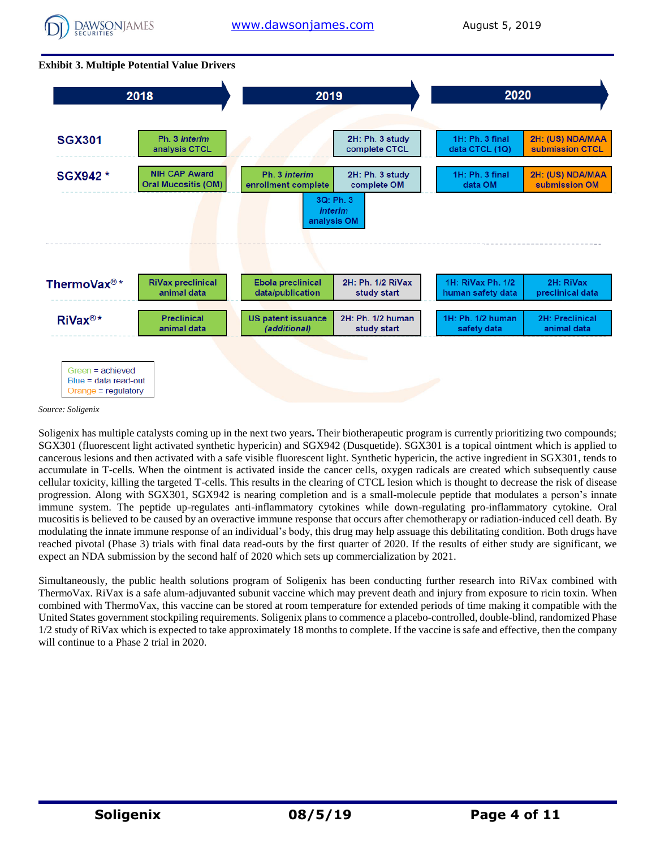

#### **Exhibit 3. Multiple Potential Value Drivers**



*Source: Soligenix* 

Soligenix has multiple catalysts coming up in the next two years**.** Their biotherapeutic program is currently prioritizing two compounds; SGX301 (fluorescent light activated synthetic hypericin) and SGX942 (Dusquetide). SGX301 is a topical ointment which is applied to cancerous lesions and then activated with a safe visible fluorescent light. Synthetic hypericin, the active ingredient in SGX301, tends to accumulate in T-cells. When the ointment is activated inside the cancer cells, oxygen radicals are created which subsequently cause cellular toxicity, killing the targeted T-cells. This results in the clearing of CTCL lesion which is thought to decrease the risk of disease progression. Along with SGX301, SGX942 is nearing completion and is a small-molecule peptide that modulates a person's innate immune system. The peptide up-regulates anti-inflammatory cytokines while down-regulating pro-inflammatory cytokine. Oral mucositis is believed to be caused by an overactive immune response that occurs after chemotherapy or radiation-induced cell death. By modulating the innate immune response of an individual's body, this drug may help assuage this debilitating condition. Both drugs have reached pivotal (Phase 3) trials with final data read-outs by the first quarter of 2020. If the results of either study are significant, we expect an NDA submission by the second half of 2020 which sets up commercialization by 2021.

Simultaneously, the public health solutions program of Soligenix has been conducting further research into RiVax combined with ThermoVax. RiVax is a safe alum-adjuvanted subunit vaccine which may prevent death and injury from exposure to ricin toxin. When combined with ThermoVax, this vaccine can be stored at room temperature for extended periods of time making it compatible with the United States government stockpiling requirements. Soligenix plans to commence a placebo-controlled, double-blind, randomized Phase 1/2 study of RiVax which is expected to take approximately 18 months to complete. If the vaccine is safe and effective, then the company will continue to a Phase 2 trial in 2020.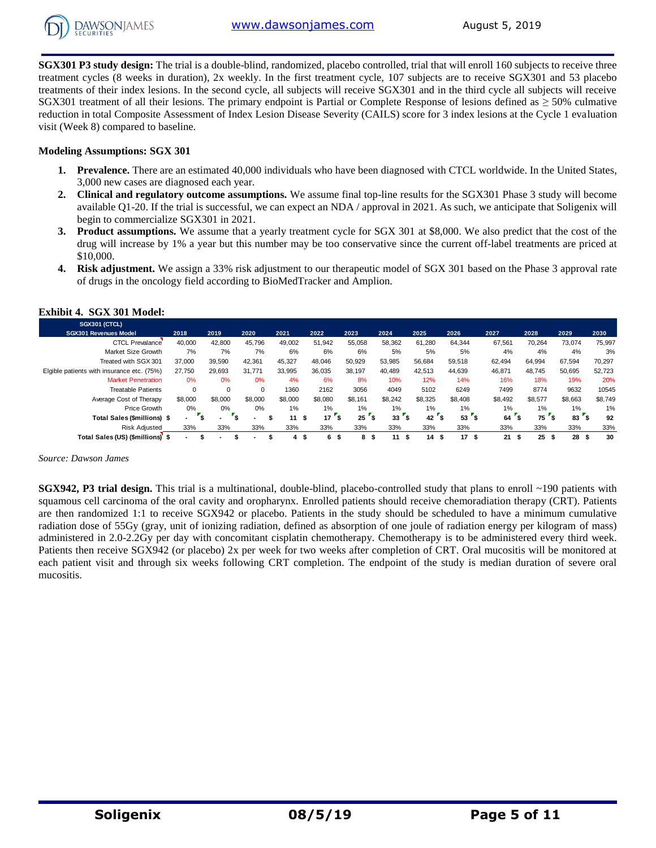

**SGX301 P3 study design:** The trial is a double-blind, randomized, placebo controlled, trial that will enroll 160 subjects to receive three treatment cycles (8 weeks in duration), 2x weekly. In the first treatment cycle, 107 subjects are to receive SGX301 and 53 placebo treatments of their index lesions. In the second cycle, all subjects will receive SGX301 and in the third cycle all subjects will receive SGX301 treatment of all their lesions. The primary endpoint is Partial or Complete Response of lesions defined as  $\geq$  50% culmative reduction in total Composite Assessment of Index Lesion Disease Severity (CAILS) score for 3 index lesions at the Cycle 1 evaluation visit (Week 8) compared to baseline.

#### **Modeling Assumptions: SGX 301**

- **1. Prevalence.** There are an estimated 40,000 individuals who have been diagnosed with CTCL worldwide. In the United States, 3,000 new cases are diagnosed each year.
- **2. Clinical and regulatory outcome assumptions.** We assume final top-line results for the SGX301 Phase 3 study will become available Q1-20. If the trial is successful, we can expect an NDA / approval in 2021. As such, we anticipate that Soligenix will begin to commercialize SGX301 in 2021.
- **3. Product assumptions.** We assume that a yearly treatment cycle for SGX 301 at \$8,000. We also predict that the cost of the drug will increase by 1% a year but this number may be too conservative since the current off-label treatments are priced at \$10,000.
- **4. Risk adjustment.** We assign a 33% risk adjustment to our therapeutic model of SGX 301 based on the Phase 3 approval rate of drugs in the oncology field according to BioMedTracker and Amplion.

| <b>SGX301 (CTCL)</b>                       |          |         |         |         |          |           |         |         |            |         |            |                 |         |
|--------------------------------------------|----------|---------|---------|---------|----------|-----------|---------|---------|------------|---------|------------|-----------------|---------|
| <b>SGX301 Revenues Model</b>               | 2018     | 2019    | 2020    | 2021    | 2022     | 2023      | 2024    | 2025    | 2026       | 2027    | 2028       | 2029            | 2030    |
| <b>CTCL Prevalance</b>                     | 40,000   | 42,800  | 45,796  | 49,002  | 51,942   | 55,058    | 58,362  | 61,280  | 64,344     | 67,561  | 70,264     | 73,074          | 75,997  |
| Market Size Growth                         | 7%       | 7%      | 7%      | 6%      | 6%       | 6%        | 5%      | 5%      | 5%         | 4%      | 4%         | 4%              | 3%      |
| Treated with SGX 301                       | 37,000   | 39,590  | 42.361  | 45,327  | 48,046   | 50,929    | 53,985  | 56,684  | 59,518     | 62,494  | 64,994     | 67,594          | 70,297  |
| Elgible patients with insurance etc. (75%) | 27.750   | 29.693  | 31.771  | 33,995  | 36.035   | 38,197    | 40,489  | 42.513  | 44.639     | 46,871  | 48.745     | 50.695          | 52,723  |
| <b>Market Penetration</b>                  | 0%       | 0%      | 0%      | 4%      | 6%       | 8%        | 10%     | 12%     | 14%        | 16%     | 18%        | 19%             | 20%     |
| <b>Treatable Patients</b>                  | $\Omega$ | 0       |         | 1360    | 2162     | 3056      | 4049    | 5102    | 6249       | 7499    | 8774       | 9632            | 10545   |
| Average Cost of Therapy                    | \$8,000  | \$8,000 | \$8,000 | \$8,000 | \$8,080  | \$8,161   | \$8,242 | \$8,325 | \$8,408    | \$8,492 | \$8,577    | \$8,663         | \$8,749 |
| Price Growth                               | 0%       | $0\%$   | 0%      | $1\%$   | $1\%$    | $1\%$     | 1%      | 1%      | $1\%$      | $1\%$   | 1%         | 1%              | 1%      |
| Total Sales (\$millions) \$                | ۰.       | т.      |         | 11      | 17<br>\$ | '\$<br>25 | 33      | 42      | '\$<br>53  | 64      | 75<br>۰Ŝ   | 83 <sup>2</sup> | 92      |
| <b>Risk Adiusted</b>                       | 33%      | 33%     | 33%     | 33%     | 33%      | 33%       | 33%     | 33%     | 33%        | 33%     | 33%        | 33%             | 33%     |
| Total Sales (US) (\$millions) \$           |          |         |         | 4       | 6<br>- 5 | 8         | 11<br>S | 14      | 17<br>- \$ | 21      | 25<br>- \$ | 28<br>- 56      | 30      |

#### **Exhibit 4. SGX 301 Model:**

*Source: Dawson James*

**SGX942, P3 trial design.** This trial is a multinational, double-blind, placebo-controlled study that plans to enroll ~190 patients with squamous cell carcinoma of the oral cavity and oropharynx. Enrolled patients should receive chemoradiation therapy (CRT). Patients are then randomized 1:1 to receive SGX942 or placebo. Patients in the study should be scheduled to have a minimum cumulative radiation dose of 55Gy (gray, unit of ionizing radiation, defined as absorption of one joule of radiation energy per kilogram of mass) administered in 2.0-2.2Gy per day with concomitant cisplatin chemotherapy. Chemotherapy is to be administered every third week. Patients then receive SGX942 (or placebo) 2x per week for two weeks after completion of CRT. Oral mucositis will be monitored at each patient visit and through six weeks following CRT completion. The endpoint of the study is median duration of severe oral mucositis.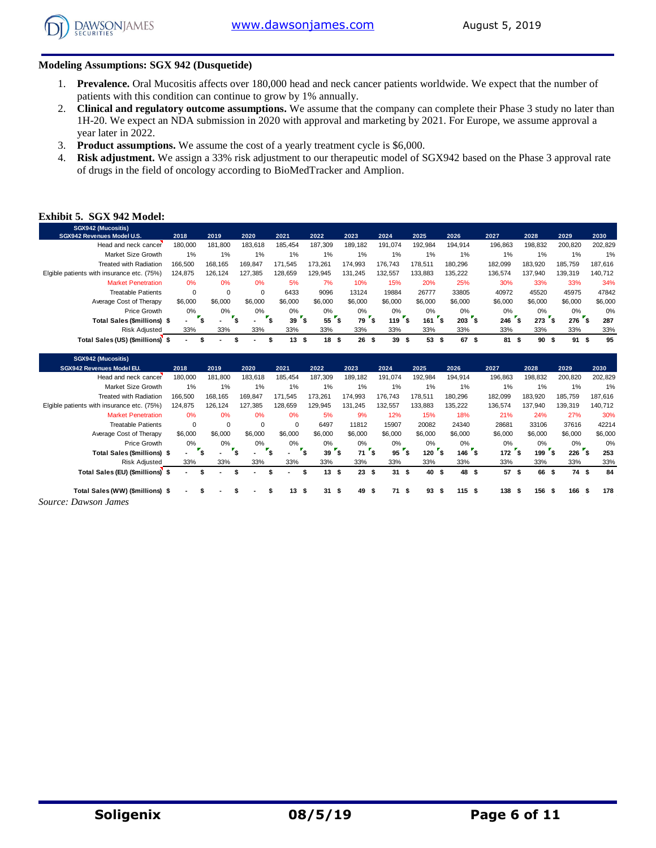

#### **Modeling Assumptions: SGX 942 (Dusquetide)**

- 1. **Prevalence.** Oral Mucositis affects over 180,000 head and neck cancer patients worldwide. We expect that the number of patients with this condition can continue to grow by 1% annually.
- 2. **Clinical and regulatory outcome assumptions.** We assume that the company can complete their Phase 3 study no later than 1H-20. We expect an NDA submission in 2020 with approval and marketing by 2021. For Europe, we assume approval a year later in 2022.
- 3. **Product assumptions.** We assume the cost of a yearly treatment cycle is \$6,000.
- 4. **Risk adjustment.** We assign a 33% risk adjustment to our therapeutic model of SGX942 based on the Phase 3 approval rate of drugs in the field of oncology according to BioMedTracker and Amplion.

#### **Exhibit 5. SGX 942 Model:**

| SGX942 (Mucositis)                         |          |         |          |         |          |         |           |           |                 |         |         |         |            |
|--------------------------------------------|----------|---------|----------|---------|----------|---------|-----------|-----------|-----------------|---------|---------|---------|------------|
| SGX942 Revenues Model U.S.                 | 2018     | 2019    | 2020     | 2021    | 2022     | 2023    | 2024      | 2025      | 2026            | 2027    | 2028    | 2029    | 2030       |
| Head and neck cancer                       | 180.000  | 181.800 | 183.618  | 185.454 | 187.309  | 189.182 | 191.074   | 192.984   | 194.914         | 196,863 | 198.832 | 200.820 | 202,829    |
| Market Size Growth                         | 1%       | 1%      | 1%       | 1%      | $1\%$    | 1%      | 1%        | 1%        | $1\%$           | 1%      | 1%      | 1%      | 1%         |
| <b>Treated with Radiation</b>              | 166.500  | 168.165 | 169.847  | 171.545 | 173.261  | 174.993 | 176.743   | 178.511   | 180.296         | 182.099 | 183.920 | 185.759 | 187,616    |
| Elgible patients with insurance etc. (75%) | 124.875  | 126.124 | 127.385  | 128.659 | 129.945  | 131.245 | 132.557   | 133.883   | 135.222         | 136.574 | 137.940 | 139.319 | 140,712    |
| <b>Market Penetration</b>                  | 0%       | 0%      | 0%       | 5%      | 7%       | 10%     | 15%       | 20%       | 25%             | 30%     | 33%     | 33%     | 34%        |
| <b>Treatable Patients</b>                  | $\Omega$ | 0       | $\Omega$ | 6433    | 9096     | 13124   | 19884     | 26777     | 33805           | 40972   | 45520   | 45975   | 47842      |
| Average Cost of Therapy                    | \$6,000  | \$6,000 | \$6,000  | \$6,000 | \$6,000  | \$6,000 | \$6,000   | \$6,000   | \$6,000         | \$6,000 | \$6,000 | \$6,000 | \$6,000    |
| Price Growth                               | $0\%$    | 0%      | 0%       | 0%      | 0%       | $0\%$   | $0\%$     | 0%        | $0\%$           | 0%      | $0\%$   | $0\%$   | 0%         |
| Total Sales (\$millions) \$                | ۰        | ″∽      |          | 39      | $557$ \$ | 79      | \$<br>119 | 161       | <b>s</b><br>203 | 246     | 273     | 276     | ٠\$<br>287 |
| <b>Risk Adiusted</b>                       | 33%      | 33%     | 33%      | 33%     | 33%      | 33%     | 33%       | 33%       | 33%             | 33%     | 33%     | 33%     | 33%        |
| Total Sales (US) (\$millions) \$           | ۰.       |         |          | 13      | 18<br>э  | 26<br>S | 39<br>S   | 53<br>- 5 | 67<br>S<br>л    | 81      | 90      | 91<br>S | 95<br>- 5  |

| SGX942 (Mucositis)                         |         |                     |             |                          |                 |            |                |                  |                  |                  |         |                           |         |
|--------------------------------------------|---------|---------------------|-------------|--------------------------|-----------------|------------|----------------|------------------|------------------|------------------|---------|---------------------------|---------|
| SGX942 Revenues Model EU.                  | 2018    | 2019                | 2020        | 2021                     | 2022            | 2023       | 2024           | 2025             | 2026             | 2027             | 2028    | 2029                      | 2030    |
| Head and neck cancer                       | 180,000 | 181,800             | 183,618     | 185.454                  | 187.309         | 189,182    | 191,074        | 192,984          | 194.914          | 196,863          | 198,832 | 200,820                   | 202,829 |
| Market Size Growth                         | 1%      | $1\%$               | 1%          | 1%                       | 1%              | 1%         | 1%             | 1%               | $1\%$            | 1%               | 1%      | 1%                        | 1%      |
| <b>Treated with Radiation</b>              | 166.500 | 168,165             | 169,847     | 171,545                  | 173.261         | 174,993    | 176,743        | 178.511          | 180.296          | 182,099          | 183,920 | 185,759                   | 187,616 |
| Elgible patients with insurance etc. (75%) | 124,875 | 126,124             | 127,385     | 128,659                  | 129,945         | 131,245    | 132,557        | 133,883          | 135,222          | 136,574          | 137,940 | 139,319                   | 140,712 |
| <b>Market Penetration</b>                  | 0%      | 0%                  | 0%          | 0%                       | 5%              | 9%         | 12%            | 15%              | 18%              | 21%              | 24%     | 27%                       | 30%     |
| <b>Treatable Patients</b>                  | 0       | $\mathbf 0$         | $\mathbf 0$ | $\mathbf 0$              | 6497            | 11812      | 15907          | 20082            | 24340            | 28681            | 33106   | 37616                     | 42214   |
| Average Cost of Therapy                    | \$6,000 | \$6,000             | \$6,000     | \$6,000                  | \$6,000         | \$6,000    | \$6,000        | \$6,000          | \$6,000          | \$6,000          | \$6,000 | \$6,000                   | \$6,000 |
| Price Growth                               | 0%      | $0\%$               | $0\%$       | $0\%$                    | $0\%$           | 0%         | $0\%$          | 0%               | $0\%$            | 0%               | $0\%$   | $0\%$                     | 0%      |
| Total Sales (\$millions) \$                | . .     | "s<br>$\sim$        |             |                          | 39 <sup>5</sup> | 71         | <b>S</b><br>95 | $^{\sim}$<br>120 | 146 <sup>5</sup> | 172 <sup>5</sup> | 199     | $\mathbf{s}$<br>$226$ $s$ | 253     |
| <b>Risk Adjusted</b>                       | 33%     | 33%                 | 33%         | 33%                      | 33%             | 33%        | 33%            | 33%              | 33%              | 33%              | 33%     | 33%                       | 33%     |
| Total Sales (EU) (\$millions) \$           |         | S<br>$\blacksquare$ |             | $\overline{\phantom{a}}$ | 13S<br>ж        | 23         | 31<br>\$       | 40 \$<br>- \$    | 48 \$            | 57 \$            | 66      | 74 \$<br>- \$             | 84      |
|                                            |         |                     |             |                          |                 |            |                |                  |                  |                  |         |                           |         |
| Total Sales (WW) (\$millions) \$           |         |                     |             | 13                       | 31<br>S         | - \$<br>49 | 71<br>\$       | 93<br>- \$       | 115S<br>-55      | 138 \$           | 156     | - \$<br>166 \$            | 178     |
| Source: Dawson James                       |         |                     |             |                          |                 |            |                |                  |                  |                  |         |                           |         |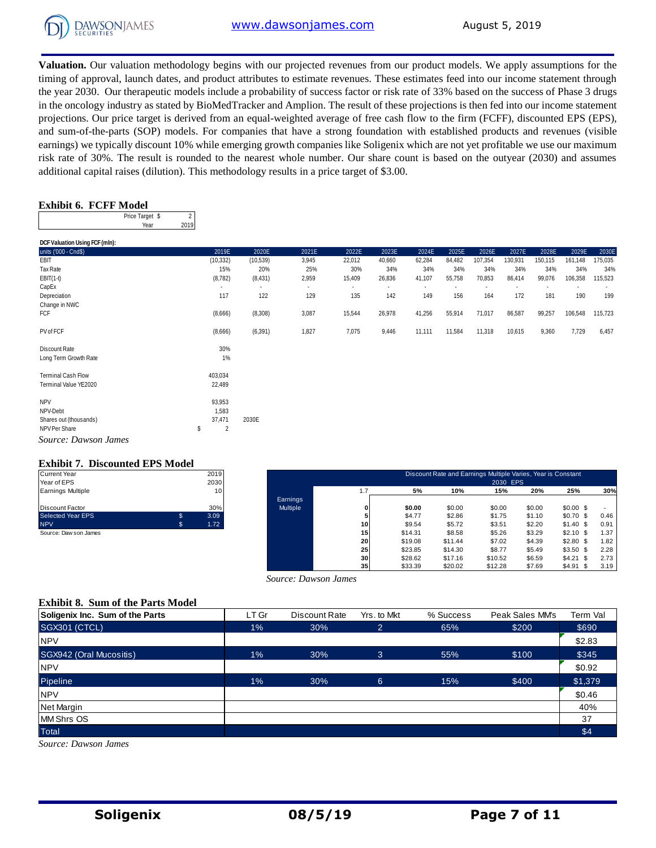

**Valuation.** Our valuation methodology begins with our projected revenues from our product models. We apply assumptions for the timing of approval, launch dates, and product attributes to estimate revenues. These estimates feed into our income statement through the year 2030. Our therapeutic models include a probability of success factor or risk rate of 33% based on the success of Phase 3 drugs in the oncology industry as stated by BioMedTracker and Amplion. The result of these projections is then fed into our income statement projections. Our price target is derived from an equal-weighted average of free cash flow to the firm (FCFF), discounted EPS (EPS), and sum-of-the-parts (SOP) models. For companies that have a strong foundation with established products and revenues (visible earnings) we typically discount 10% while emerging growth companies like Soligenix which are not yet profitable we use our maximum risk rate of 30%. The result is rounded to the nearest whole number. Our share count is based on the outyear (2030) and assumes additional capital raises (dilution). This methodology results in a price target of \$3.00.

#### **Exhibit 6. FCFF Model**

**DCF Valuation Using FCF (mln):** 

| Price Target \$ |  |
|-----------------|--|
| 'ea             |  |

| noi tainnin anns i a' fuith. |                      |           |       |        |                          |        |        |         |         |         |         |         |
|------------------------------|----------------------|-----------|-------|--------|--------------------------|--------|--------|---------|---------|---------|---------|---------|
| units ('000 - Cnd\$)         | 2019E                | 2020E     | 2021E | 2022E  | 2023E                    | 2024E  | 2025E  | 2026E   | 2027E   | 2028E   | 2029E   | 2030E   |
| EBIT                         | (10, 332)            | (10, 539) | 3,945 | 22,012 | 40,660                   | 62,284 | 84,482 | 107,354 | 130,931 | 150,115 | 161,148 | 175,035 |
| Tax Rate                     | 15%                  | 20%       | 25%   | 30%    | 34%                      | 34%    | 34%    | 34%     | 34%     | 34%     | 34%     | 34%     |
| $EBIT(1-t)$                  | (8, 782)             | (8, 431)  | 2,959 | 15,409 | 26,836                   | 41,107 | 55,758 | 70,853  | 86,414  | 99,076  | 106,358 | 115,523 |
| CapEx                        |                      |           |       |        | $\overline{\phantom{a}}$ |        |        |         |         |         |         |         |
| Depreciation                 | 117                  | 122       | 129   | 135    | 142                      | 149    | 156    | 164     | 172     | 181     | 190     | 199     |
| Change in NWC                |                      |           |       |        |                          |        |        |         |         |         |         |         |
| FCF                          | (8,666)              | (8,308)   | 3,087 | 15,544 | 26,978                   | 41,256 | 55,914 | 71,017  | 86,587  | 99,257  | 106,548 | 115,723 |
| PV of FCF                    | (8,666)              | (6, 391)  | 1,827 | 7,075  | 9,446                    | 11,111 | 11,584 | 11,318  | 10,615  | 9,360   | 7,729   | 6,457   |
|                              |                      |           |       |        |                          |        |        |         |         |         |         |         |
| Discount Rate                | 30%                  |           |       |        |                          |        |        |         |         |         |         |         |
| Long Term Growth Rate        | 1%                   |           |       |        |                          |        |        |         |         |         |         |         |
| <b>Terminal Cash Flow</b>    | 403,034              |           |       |        |                          |        |        |         |         |         |         |         |
| Terminal Value YE2020        | 22,489               |           |       |        |                          |        |        |         |         |         |         |         |
| <b>NPV</b>                   | 93,953               |           |       |        |                          |        |        |         |         |         |         |         |
| NPV-Debt                     | 1,583                |           |       |        |                          |        |        |         |         |         |         |         |
| Shares out (thousands)       | 37,471               | 2030E     |       |        |                          |        |        |         |         |         |         |         |
| NPV Per Share                | $\overline{2}$<br>\$ |           |       |        |                          |        |        |         |         |         |         |         |
| Source: Dawson James         |                      |           |       |        |                          |        |        |         |         |         |         |         |

#### **Exhibit 7. Discounted EPS Model**

| <b>Current Year</b>      | 2019       |
|--------------------------|------------|
| Year of EPS              | 2030       |
| <b>Earnings Multiple</b> | 10         |
| Discount Factor          | 30%        |
| <b>Selected Year EPS</b> | \$<br>3.09 |
| <b>NPV</b>               | \$<br>1.72 |
| Source: Daw son James    |            |

| Current Year          |     | 2019 |          |     |         | Discount Rate and Earnings Multiple Varies, Year is Constant |          |        |            |      |
|-----------------------|-----|------|----------|-----|---------|--------------------------------------------------------------|----------|--------|------------|------|
| Year of EPS           |     | 2030 |          |     |         |                                                              | 2030 EPS |        |            |      |
| Earnings Multiple     |     | 10   |          | 1.7 | 5%      | 10%                                                          | 15%      | 20%    | 25%        | 30%  |
|                       |     |      | Earnings |     |         |                                                              |          |        |            |      |
| Discount Factor       |     | 30%  | Multiple |     | \$0.00  | \$0.00                                                       | \$0.00   | \$0.00 | $$0.00$ \$ |      |
| Selected Year EPS     | \$. | 3.09 |          |     | \$4.77  | \$2.86                                                       | \$1.75   | \$1.10 | $$0.70$ \$ | 0.46 |
| <b>NPV</b>            | s.  | 1.72 |          | 10  | \$9.54  | \$5.72                                                       | \$3.51   | \$2.20 | $$1.40$ \$ | 0.91 |
| Source: Daw son James |     |      |          | 15  | \$14.31 | \$8.58                                                       | \$5.26   | \$3.29 | $$2.10$ \$ | 1.37 |
|                       |     |      |          | 20  | \$19.08 | \$11.44                                                      | \$7.02   | \$4.39 | $$2.80$ \$ | 1.82 |
|                       |     |      |          | 25  | \$23.85 | \$14.30                                                      | \$8.77   | \$5.49 | $$3.50$ \$ | 2.28 |
|                       |     |      |          | 30  | \$28.62 | \$17.16                                                      | \$10.52  | \$6.59 | $$4.21$ \$ | 2.73 |
|                       |     |      |          | 35  | \$33.39 | \$20.02                                                      | \$12.28  | \$7.69 | $$4.91$ \$ | 3.19 |

#### **Exhibit 8. Sum of the Parts Model**

| Source: Dawson James                     |       |               |                |           |                 |          |  |  |  |  |
|------------------------------------------|-------|---------------|----------------|-----------|-----------------|----------|--|--|--|--|
| <b>Exhibit 8. Sum of the Parts Model</b> |       |               |                |           |                 |          |  |  |  |  |
| Soligenix Inc. Sum of the Parts          | LT Gr | Discount Rate | Yrs. to Mkt    | % Success | Peak Sales MM's | Term Val |  |  |  |  |
| SGX301 (CTCL)                            | $1\%$ | 30%           | $\overline{2}$ | 65%       | \$200           | \$690    |  |  |  |  |
| <b>NPV</b>                               |       |               |                |           |                 | \$2.83   |  |  |  |  |
| SGX942 (Oral Mucositis)                  | $1\%$ | 30%           | 3              | 55%       | \$100           | \$345    |  |  |  |  |
| <b>NPV</b>                               |       |               |                |           |                 | \$0.92   |  |  |  |  |
| Pipeline                                 | $1\%$ | 30%           | 6              | 15%       | \$400           | \$1,379  |  |  |  |  |
| <b>NPV</b>                               |       |               |                |           |                 | \$0.46   |  |  |  |  |
| <b>Net Margin</b>                        |       |               |                |           |                 | 40%      |  |  |  |  |
| <b>MM Shrs OS</b>                        |       |               |                |           |                 | 37       |  |  |  |  |
| <b>Total</b>                             |       |               |                |           |                 | \$4      |  |  |  |  |
| Source: Dawson James                     |       |               |                |           |                 |          |  |  |  |  |

*Source: Dawson James*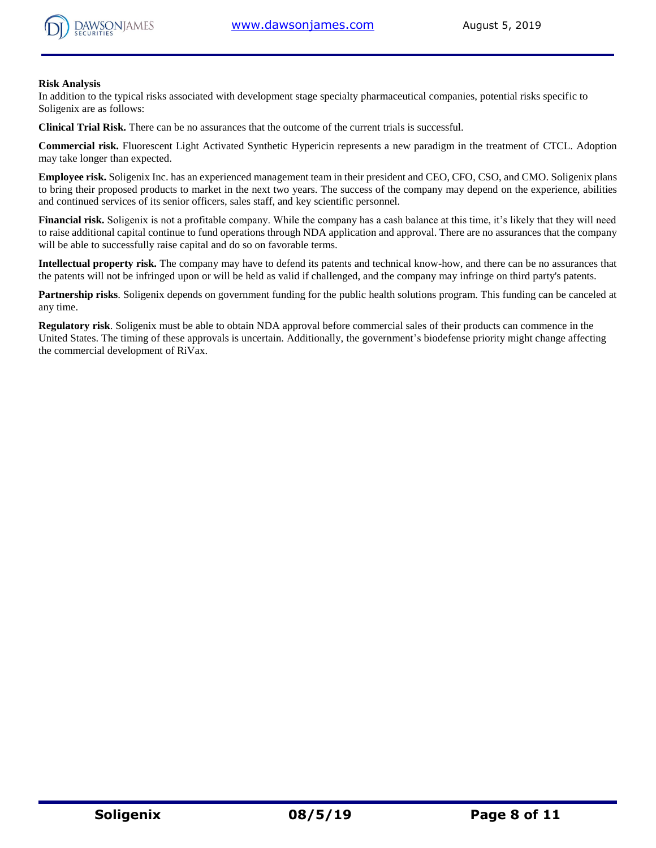



#### **Risk Analysis**

In addition to the typical risks associated with development stage specialty pharmaceutical companies, potential risks specific to Soligenix are as follows:

**Clinical Trial Risk.** There can be no assurances that the outcome of the current trials is successful.

**Commercial risk.** Fluorescent Light Activated Synthetic Hypericin represents a new paradigm in the treatment of CTCL. Adoption may take longer than expected.

**Employee risk.** Soligenix Inc. has an experienced management team in their president and CEO, CFO, CSO, and CMO. Soligenix plans to bring their proposed products to market in the next two years. The success of the company may depend on the experience, abilities and continued services of its senior officers, sales staff, and key scientific personnel.

**Financial risk.** Soligenix is not a profitable company. While the company has a cash balance at this time, it's likely that they will need to raise additional capital continue to fund operations through NDA application and approval. There are no assurances that the company will be able to successfully raise capital and do so on favorable terms.

**Intellectual property risk.** The company may have to defend its patents and technical know-how, and there can be no assurances that the patents will not be infringed upon or will be held as valid if challenged, and the company may infringe on third party's patents.

**Partnership risks**. Soligenix depends on government funding for the public health solutions program. This funding can be canceled at any time.

**Regulatory risk**. Soligenix must be able to obtain NDA approval before commercial sales of their products can commence in the United States. The timing of these approvals is uncertain. Additionally, the government's biodefense priority might change affecting the commercial development of RiVax.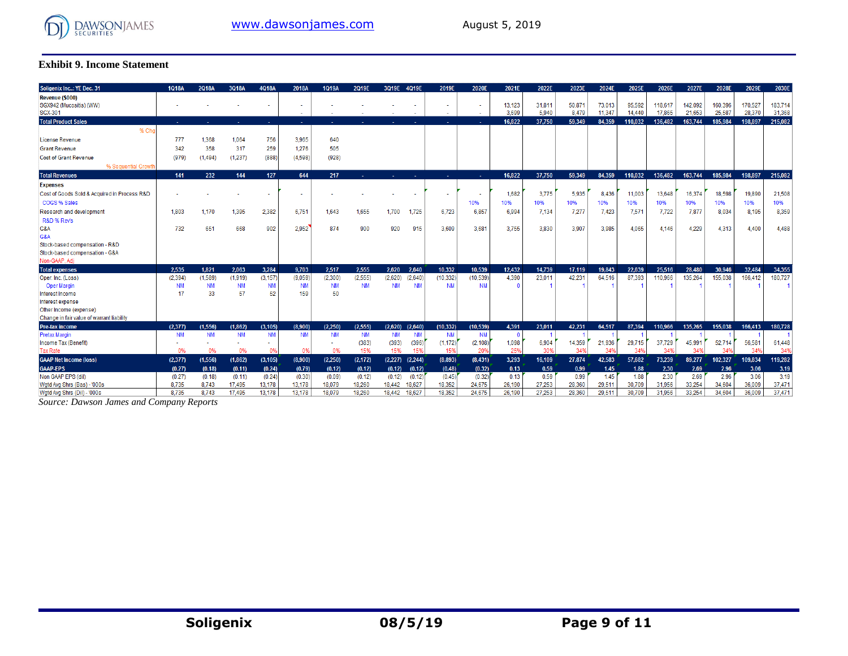

#### **Exhibit 9. Income Statement**

| Soligenix Inc: YE Dec. 31                                    | <b>1Q18A</b>    | 2Q18A           | 3Q18A           | 4Q18A           | 2018A            | 1Q19A           | 2Q19E     | 3Q19E 4Q19E         |           | 2019E       | 2020E     | 2021E           | 2022E           | 2023E           | 2024E            | 2025E            | 2026E             | 2027E             | 2028E             | 2029E             | 2030E             |
|--------------------------------------------------------------|-----------------|-----------------|-----------------|-----------------|------------------|-----------------|-----------|---------------------|-----------|-------------|-----------|-----------------|-----------------|-----------------|------------------|------------------|-------------------|-------------------|-------------------|-------------------|-------------------|
| Revenue (\$000)<br>SGX942 (Mucositis) (WW)<br><b>SGX-301</b> |                 |                 |                 |                 |                  |                 |           |                     |           | ٠<br>$\sim$ |           | 13,123<br>3.699 | 31,811<br>5.940 | 50,871<br>8.479 | 73,013<br>11.347 | 95,592<br>14,440 | 118,617<br>17,865 | 142.092<br>21.653 | 160,396<br>25,587 | 170,527<br>28.370 | 183,714<br>31,368 |
| <b>Total Product Sales</b>                                   |                 |                 |                 |                 |                  |                 |           |                     |           |             |           | 16.822          | 37.750          | 59.349          | 84.359           | 110.032          | 136.482           | 163.744           | 185.984           | 198.897           | 215,082           |
| % Cho                                                        |                 |                 |                 |                 |                  |                 |           |                     |           |             |           |                 |                 |                 |                  |                  |                   |                   |                   |                   |                   |
| License Revenue                                              | 777             | 1.368           | 1.064           | 756             | 3,965            | 640             |           |                     |           |             |           |                 |                 |                 |                  |                  |                   |                   |                   |                   |                   |
| <b>Grant Revenue</b>                                         | 342             | 358             | 317             | 259             | 1.276            | 505             |           |                     |           |             |           |                 |                 |                 |                  |                  |                   |                   |                   |                   |                   |
| <b>Cost of Grant Revenue</b>                                 | (979)           | (1, 494)        | (1.237)         | (888)           | (4.598)          | (928)           |           |                     |           |             |           |                 |                 |                 |                  |                  |                   |                   |                   |                   |                   |
| % Sequential Growth                                          |                 |                 |                 |                 |                  |                 |           |                     |           |             |           |                 |                 |                 |                  |                  |                   |                   |                   |                   |                   |
| <b>Total Revenues</b>                                        | 141             | 232             | 144             | 127             | 644              | 217             |           | 14.                 | <b>A</b>  | a.          |           | 16,822          | 37,750          | 59,349          | 84,359           | 110,032          | 136,482           | 163,744           | 185,984           | 198,897           | 215,082           |
| <b>Expenses</b>                                              |                 |                 |                 |                 |                  |                 |           |                     |           |             |           |                 |                 |                 |                  |                  |                   |                   |                   |                   |                   |
| Cost of Goods Sold & Acquired in Process R&D                 |                 |                 |                 |                 |                  |                 |           |                     |           |             |           | 1,682           | 3,775           | 5.935           | 8.436            | 11,003           | 13,648            | 16,374            | 18,598            | 19,890            | 21,508            |
| COGS % Sales                                                 |                 |                 |                 |                 |                  |                 |           |                     |           |             | 10%       | 10%             | 10%             | 10%             | 10%              | 10%              | 10%               | 10%               | 10%               | 10%               | 10%               |
| Research and development                                     | 1,803           | 1.170           | 1,395           | 2,382           | 6,751            | 1.643           | 1,655     | 1.700               | 1,725     | 6,723       | 6,857     | 6.994           | 7,134           | 7,277           | 7,423            | 7,571            | 7,722             | 7,877             | 8,034             | 8,195             | 8,359             |
| R&D % Rev's                                                  |                 |                 |                 |                 |                  |                 |           |                     |           |             |           |                 |                 |                 |                  |                  |                   |                   |                   |                   |                   |
| G&A                                                          | 732             | 651             | 668             | 902             | 2,952            | 874             | 900       | 920                 | 915       | 3,609       | 3,681     | 3,755           | 3,830           | 3,907           | 3,985            | 4,065            | 4.146             | 4,229             | 4,313             | 4,400             | 4,488             |
| G&A                                                          |                 |                 |                 |                 |                  |                 |           |                     |           |             |           |                 |                 |                 |                  |                  |                   |                   |                   |                   |                   |
| Stock-based compensation - R&D                               |                 |                 |                 |                 |                  |                 |           |                     |           |             |           |                 |                 |                 |                  |                  |                   |                   |                   |                   |                   |
| Stock-based compensation - G&A                               |                 |                 |                 |                 |                  |                 |           |                     |           |             |           |                 |                 |                 |                  |                  |                   |                   |                   |                   |                   |
| Non-GAAP, Adi                                                |                 |                 |                 |                 |                  |                 |           |                     |           |             |           |                 |                 |                 |                  |                  |                   |                   |                   |                   |                   |
| <b>Total expenses</b>                                        | 2.535           | 1.821           | 2.063           | 3.284           | 9.703            | 2.517           | 2.555     | 2.620               | 2,640     | 10.332      | 10.539    | 12,432          | 14.739          | 17.119          | 19.843           | 22.639           | 25.516            | 28,480            | 30.946            | 32.484            | 34,355            |
| Oper. Inc. (Loss)                                            | (2, 394)        | (1,589)         | (1,919)         | (3, 157)        | (9,059)          | (2, 300)        | (2, 555)  | (2,620)             | (2.640)   | (10, 332)   | (10, 539) | 4.390           | 23,011          | 42.231          | 64.516           | 87.393           | 110,966           | 135,264           | 155,038           | 166.412           | 180,727           |
| <b>Oper Margin</b><br>Interest Income                        | <b>NM</b><br>17 | <b>NM</b><br>33 | <b>NM</b><br>57 | <b>NM</b><br>52 | <b>NM</b><br>159 | <b>NM</b><br>50 | <b>NM</b> | <b>NM</b>           | <b>NM</b> | <b>NM</b>   | <b>NM</b> |                 |                 |                 |                  |                  |                   |                   |                   |                   |                   |
| Interest expense                                             |                 |                 |                 |                 |                  |                 |           |                     |           |             |           |                 |                 |                 |                  |                  |                   |                   |                   |                   |                   |
| Other Income (expense)                                       |                 |                 |                 |                 |                  |                 |           |                     |           |             |           |                 |                 |                 |                  |                  |                   |                   |                   |                   |                   |
| Change in fair value of warrant liability                    |                 |                 |                 |                 |                  |                 |           |                     |           |             |           |                 |                 |                 |                  |                  |                   |                   |                   |                   |                   |
| Pre-tax income                                               | (2,377)         | (1.556)         | (1,862)         | (3, 105)        | (8,900)          | (2.250)         | (2, 555)  | (2,620)             | (2,640)   | (10, 332)   | (10, 539) | 4,391           | 23,011          | 42,231          | 64,517           | 87.394           | 110.966           | 135,265           | 155.038           | 166,413           | 180,728           |
| <b>Pretax Margin</b>                                         | <b>NM</b>       | <b>NM</b>       | <b>NM</b>       | <b>NM</b>       | <b>NM</b>        | <b>NM</b>       | <b>NM</b> | <b>NM</b>           | <b>NM</b> | <b>NM</b>   | <b>NM</b> | -0              |                 |                 |                  |                  |                   |                   |                   |                   |                   |
| Income Tax (Benefit)                                         |                 |                 |                 | <b>.</b>        |                  | ÷               | (383)     | (393)               | (396)     | (1, 172)    | (2, 108)  | 1,098           | 6,904           | 14,359          | 21,936           | 29,715           | 37,729            | 45,991            | 52,714            | 56,581            | 61,448            |
| <b>Tax Rate</b>                                              | 0%              | 0%              | 0%              | 0 <sup>0</sup>  | 0%               | 0%              | 15%       | 15%                 | 15%       | 15%         | 20%       | 25%             | 30%             | 34%             | 349              | 34%              | 34%               | 349               | 34%               | 349               | 34%               |
| <b>GAAP Net Income (loss)</b>                                | (2,377)         | (1,556)         | (1,862)         | (3, 105)        | (8,900)          | (2,250)         | (2, 172)  | (2, 244)<br>(2,227) |           | (8,893)     | (8,431)   | 3,293           | 16,109          | 27,874          | 42,583           | 57,682           | 73,239            | 89,277            | 102,327           | 109,834           | 119,282           |
| <b>GAAP-EPS</b>                                              | (0.27)          | (0.18)          | (0.11)          | (0.24)          | (0.79)           | (0.12)          | (0.12)    | (0.12)              | (0.12)    | (0.48)      | (0.32)    | 0.13            | 0.59            | 0.99            | 1.45             | 1.88             | 2.30              | 2.69              | 2.96              | 3.06              | 3.19              |
| Non GAAP EPS (dil)                                           | (0.27)          | (0.18)          | (0.11)          | (0.24)          | (0.30)           | (0.09)          | (0.12)    | (0.12)              | (0.12)    | (0.45)      | (0.32)    | 0.13            | 0.59            | 0.99            | 1.45             | 1.88             | 2.30              | 2.69              | 2.96              | 3.06              | 3.19              |
| Wotd Avo Shrs (Bas) - '000s                                  | 8.735           | 8.743           | 17.495          | 13,178          | 13,178           | 18,079          | 18,260    | 18,627<br>18.442    |           | 18,352      | 24.675    | 26.190          | 27.253          | 28,360          | 29,511           | 30.709           | 31,956            | 33,254            | 34,604            | 36,009            | 37.471            |
| Wgtd Avg Shrs (Dil) - '000s                                  | 8,735           | 8,743           | 17,495          | 13,178          | 13,178           | 18,079          | 18,260    | 18,627<br>18,442    |           | 18,352      | 24.675    | 26,190          | 27,253          | 28,360          | 29,511           | 30,709           | 31,956            | 33,254            | 34,604            | 36,009            | 37,471            |

*Source: Dawson James and Company Reports*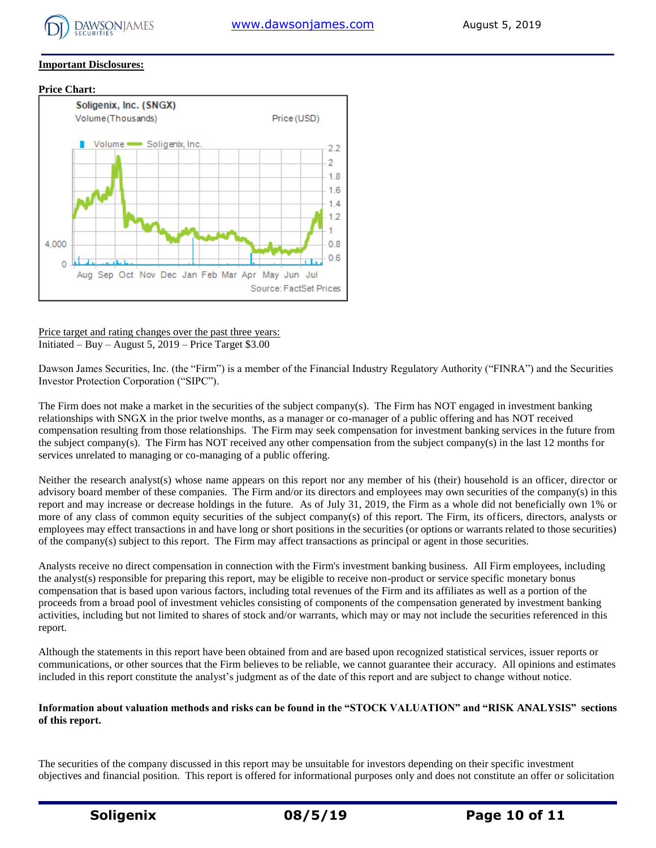

#### **Important Disclosures:**



Price target and rating changes over the past three years: Initiated – Buy – August 5, 2019 – Price Target \$3.00

Dawson James Securities, Inc. (the "Firm") is a member of the Financial Industry Regulatory Authority ("FINRA") and the Securities Investor Protection Corporation ("SIPC").

The Firm does not make a market in the securities of the subject company(s). The Firm has NOT engaged in investment banking relationships with SNGX in the prior twelve months, as a manager or co-manager of a public offering and has NOT received compensation resulting from those relationships. The Firm may seek compensation for investment banking services in the future from the subject company(s). The Firm has NOT received any other compensation from the subject company(s) in the last 12 months for services unrelated to managing or co-managing of a public offering.

Neither the research analyst(s) whose name appears on this report nor any member of his (their) household is an officer, director or advisory board member of these companies. The Firm and/or its directors and employees may own securities of the company(s) in this report and may increase or decrease holdings in the future. As of July 31, 2019, the Firm as a whole did not beneficially own 1% or more of any class of common equity securities of the subject company(s) of this report. The Firm, its officers, directors, analysts or employees may effect transactions in and have long or short positions in the securities (or options or warrants related to those securities) of the company(s) subject to this report. The Firm may affect transactions as principal or agent in those securities.

Analysts receive no direct compensation in connection with the Firm's investment banking business. All Firm employees, including the analyst(s) responsible for preparing this report, may be eligible to receive non-product or service specific monetary bonus compensation that is based upon various factors, including total revenues of the Firm and its affiliates as well as a portion of the proceeds from a broad pool of investment vehicles consisting of components of the compensation generated by investment banking activities, including but not limited to shares of stock and/or warrants, which may or may not include the securities referenced in this report.

Although the statements in this report have been obtained from and are based upon recognized statistical services, issuer reports or communications, or other sources that the Firm believes to be reliable, we cannot guarantee their accuracy. All opinions and estimates included in this report constitute the analyst's judgment as of the date of this report and are subject to change without notice.

#### **Information about valuation methods and risks can be found in the "STOCK VALUATION" and "RISK ANALYSIS" sections of this report.**

The securities of the company discussed in this report may be unsuitable for investors depending on their specific investment objectives and financial position. This report is offered for informational purposes only and does not constitute an offer or solicitation